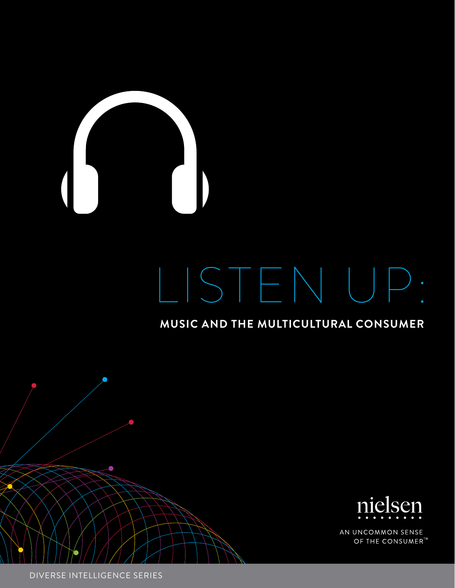

# LISTEN UP:

#### **MUSIC AND THE MULTICULTURAL CONSUMER**



AN UNCOMMON SENSE OF THE CONSUMER<sup>TM</sup>

DIVERSE INTELLIGENCE SERIES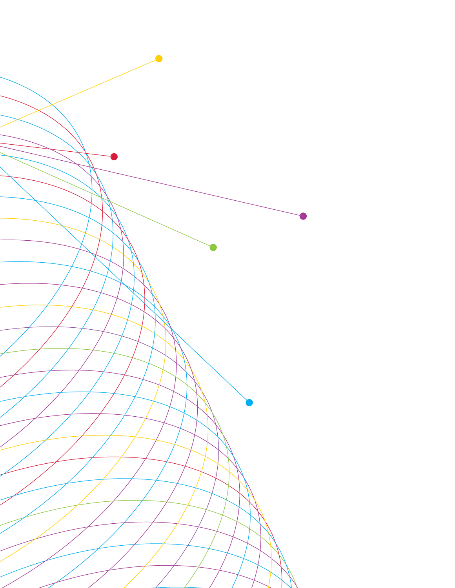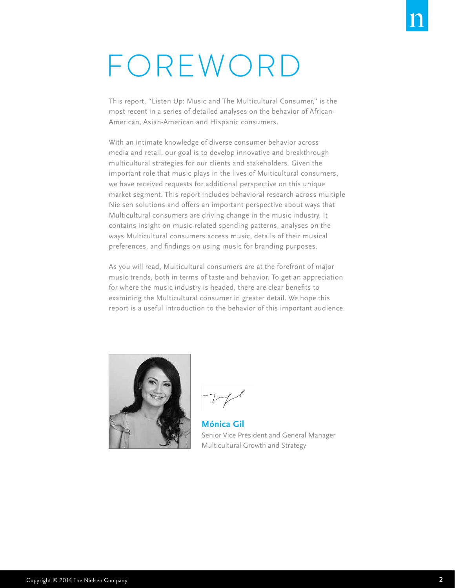### FOREWORD

This report, "Listen Up: Music and The Multicultural Consumer," is the most recent in a series of detailed analyses on the behavior of African-American, Asian-American and Hispanic consumers.

With an intimate knowledge of diverse consumer behavior across media and retail, our goal is to develop innovative and breakthrough multicultural strategies for our clients and stakeholders. Given the important role that music plays in the lives of Multicultural consumers, we have received requests for additional perspective on this unique market segment. This report includes behavioral research across multiple Nielsen solutions and offers an important perspective about ways that Multicultural consumers are driving change in the music industry. It contains insight on music-related spending patterns, analyses on the ways Multicultural consumers access music, details of their musical preferences, and findings on using music for branding purposes.

As you will read, Multicultural consumers are at the forefront of major music trends, both in terms of taste and behavior. To get an appreciation for where the music industry is headed, there are clear benefits to examining the Multicultural consumer in greater detail. We hope this report is a useful introduction to the behavior of this important audience.



**Mónica Gil** Senior Vice President and General Manager Multicultural Growth and Strategy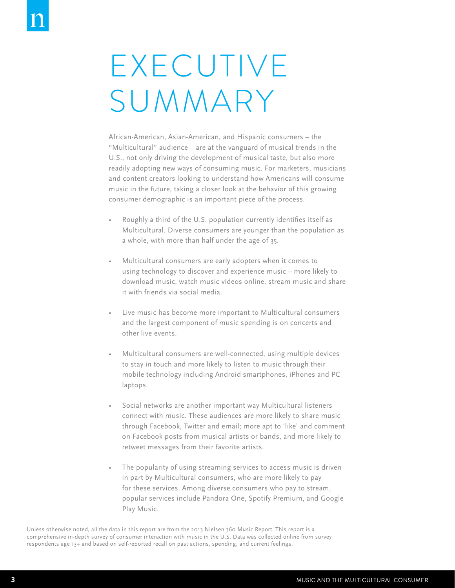## EXECUTIVE SUMMARY

African-American, Asian-American, and Hispanic consumers – the "Multicultural" audience – are at the vanguard of musical trends in the U.S., not only driving the development of musical taste, but also more readily adopting new ways of consuming music. For marketers, musicians and content creators looking to understand how Americans will consume music in the future, taking a closer look at the behavior of this growing consumer demographic is an important piece of the process.

- Roughly a third of the U.S. population currently identifies itself as Multicultural. Diverse consumers are younger than the population as a whole, with more than half under the age of 35.
- Multicultural consumers are early adopters when it comes to using technology to discover and experience music – more likely to download music, watch music videos online, stream music and share it with friends via social media.
- Live music has become more important to Multicultural consumers and the largest component of music spending is on concerts and other live events.
- Multicultural consumers are well-connected, using multiple devices to stay in touch and more likely to listen to music through their mobile technology including Android smartphones, iPhones and PC laptops.
- Social networks are another important way Multicultural listeners connect with music. These audiences are more likely to share music through Facebook, Twitter and email; more apt to 'like' and comment on Facebook posts from musical artists or bands, and more likely to retweet messages from their favorite artists.
- The popularity of using streaming services to access music is driven in part by Multicultural consumers, who are more likely to pay for these services. Among diverse consumers who pay to stream, popular services include Pandora One, Spotify Premium, and Google Play Music.

Unless otherwise noted, all the data in this report are from the 2013 Nielsen 360 Music Report. This report is a comprehensive in-depth survey of consumer interaction with music in the U.S. Data was collected online from survey respondents age 13+ and based on self-reported recall on past actions, spending, and current feelings.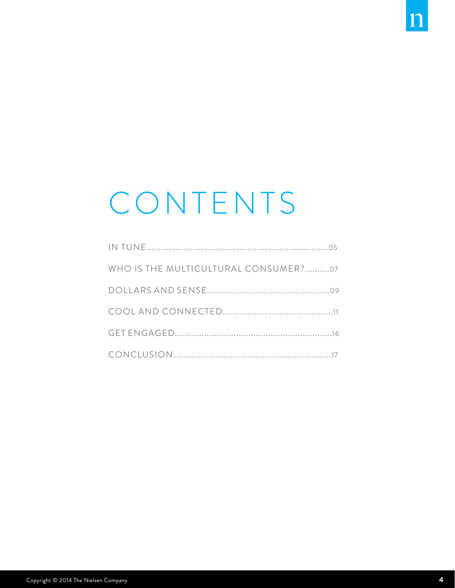### CONTENTS

| WHO IS THE MULTICULTURAL CONSUMER?07 |  |
|--------------------------------------|--|
|                                      |  |
|                                      |  |
|                                      |  |
|                                      |  |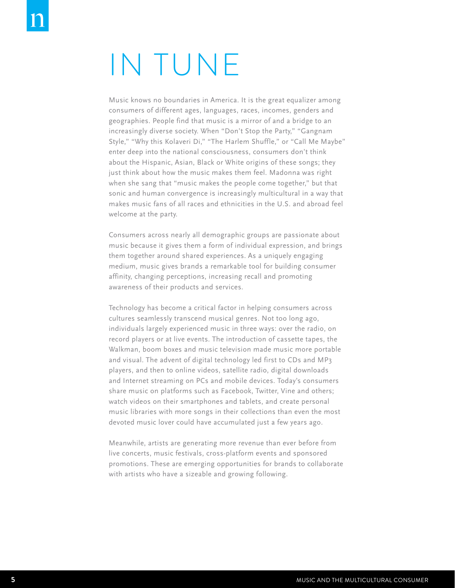### IN TUNE

Music knows no boundaries in America. It is the great equalizer among consumers of different ages, languages, races, incomes, genders and geographies. People find that music is a mirror of and a bridge to an increasingly diverse society. When "Don't Stop the Party," "Gangnam Style," "Why this Kolaveri Di," "The Harlem Shuffle," or "Call Me Maybe" enter deep into the national consciousness, consumers don't think about the Hispanic, Asian, Black or White origins of these songs; they just think about how the music makes them feel. Madonna was right when she sang that "music makes the people come together," but that sonic and human convergence is increasingly multicultural in a way that makes music fans of all races and ethnicities in the U.S. and abroad feel welcome at the party.

Consumers across nearly all demographic groups are passionate about music because it gives them a form of individual expression, and brings them together around shared experiences. As a uniquely engaging medium, music gives brands a remarkable tool for building consumer affinity, changing perceptions, increasing recall and promoting awareness of their products and services.

Technology has become a critical factor in helping consumers across cultures seamlessly transcend musical genres. Not too long ago, individuals largely experienced music in three ways: over the radio, on record players or at live events. The introduction of cassette tapes, the Walkman, boom boxes and music television made music more portable and visual. The advent of digital technology led first to CDs and MP3 players, and then to online videos, satellite radio, digital downloads and Internet streaming on PCs and mobile devices. Today's consumers share music on platforms such as Facebook, Twitter, Vine and others; watch videos on their smartphones and tablets, and create personal music libraries with more songs in their collections than even the most devoted music lover could have accumulated just a few years ago.

Meanwhile, artists are generating more revenue than ever before from live concerts, music festivals, cross-platform events and sponsored promotions. These are emerging opportunities for brands to collaborate with artists who have a sizeable and growing following.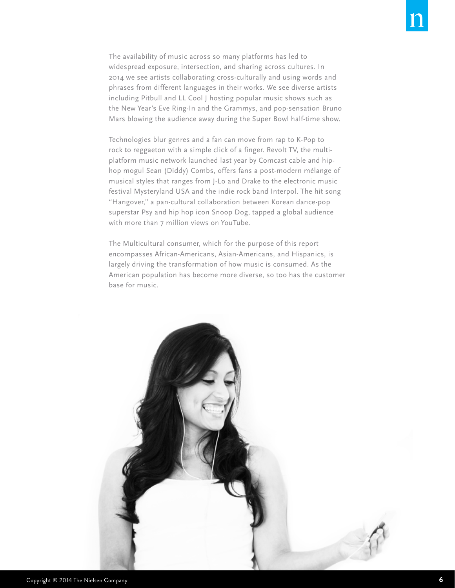The availability of music across so many platforms has led to widespread exposure, intersection, and sharing across cultures. In 2014 we see artists collaborating cross-culturally and using words and phrases from different languages in their works. We see diverse artists including Pitbull and LL Cool J hosting popular music shows such as the New Year's Eve Ring-In and the Grammys, and pop-sensation Bruno Mars blowing the audience away during the Super Bowl half-time show.

Technologies blur genres and a fan can move from rap to K-Pop to rock to reggaeton with a simple click of a finger. Revolt TV, the multiplatform music network launched last year by Comcast cable and hiphop mogul Sean (Diddy) Combs, offers fans a post-modern mélange of musical styles that ranges from J-Lo and Drake to the electronic music festival Mysteryland USA and the indie rock band Interpol. The hit song "Hangover," a pan-cultural collaboration between Korean dance-pop superstar Psy and hip hop icon Snoop Dog, tapped a global audience with more than 7 million views on YouTube.

The Multicultural consumer, which for the purpose of this report encompasses African-Americans, Asian-Americans, and Hispanics, is largely driving the transformation of how music is consumed. As the American population has become more diverse, so too has the customer base for music.

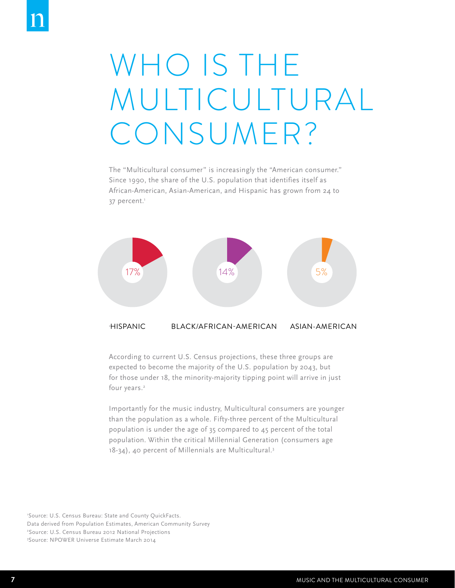### WHO IS THE MULTICULTURAL CONSUMER?

The "Multicultural consumer" is increasingly the "American consumer." Since 1990, the share of the U.S. population that identifies itself as African-American, Asian-American, and Hispanic has grown from 24 to 37 percent.<sup>1</sup>



According to current U.S. Census projections, these three groups are expected to become the majority of the U.S. population by 2043, but for those under 18, the minority-majority tipping point will arrive in just four years.<sup>2</sup>

Importantly for the music industry, Multicultural consumers are younger than the population as a whole. Fifty-three percent of the Multicultural population is under the age of 35 compared to 45 percent of the total population. Within the critical Millennial Generation (consumers age 18-34), 40 percent of Millennials are Multicultural.3

 Source: U.S. Census Bureau: State and County QuickFacts. Data derived from Population Estimates, American Community Survey Source: U.S. Census Bureau 2012 National Projections Source: NPOWER Universe Estimate March 2014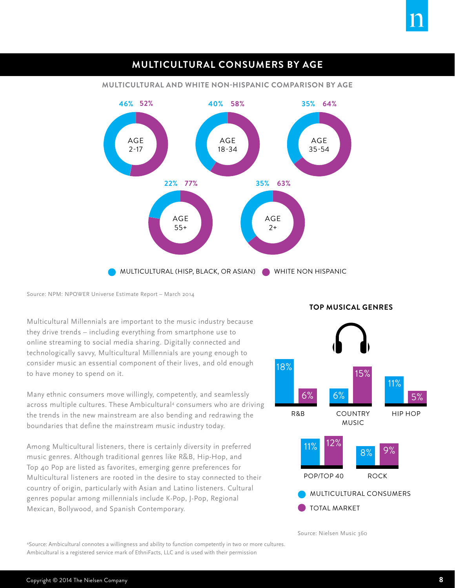#### **MULTICULTURAL CONSUMERS BY AGE**

![](_page_8_Figure_2.jpeg)

#### **MULTICULTURAL AND WHITE NON-HISPANIC COMPARISON BY AGE**

Source: NPM: NPOWER Universe Estimate Report – March 2014

Multicultural Millennials are important to the music industry because they drive trends – including everything from smartphone use to online streaming to social media sharing. Digitally connected and technologically savvy, Multicultural Millennials are young enough to consider music an essential component of their lives, and old enough to have money to spend on it.

Many ethnic consumers move willingly, competently, and seamlessly across multiple cultures. These Ambicultural<sup>4</sup> consumers who are driving the trends in the new mainstream are also bending and redrawing the boundaries that define the mainstream music industry today.

Among Multicultural listeners, there is certainly diversity in preferred music genres. Although traditional genres like R&B, Hip-Hop, and Top 40 Pop are listed as favorites, emerging genre preferences for Multicultural listeners are rooted in the desire to stay connected to their country of origin, particularly with Asian and Latino listeners. Cultural genres popular among millennials include K-Pop, J-Pop, Regional Mexican, Bollywood, and Spanish Contemporary.

![](_page_8_Figure_8.jpeg)

Source: Nielsen Music 360

**TOP MUSICAL GENRES**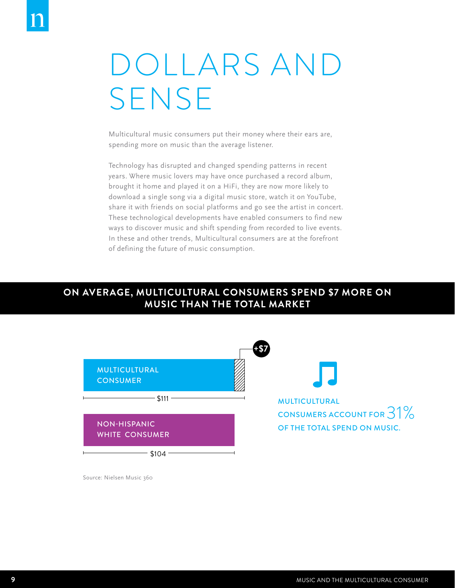### DOLLARS AND SENSE

Multicultural music consumers put their money where their ears are, spending more on music than the average listener.

Technology has disrupted and changed spending patterns in recent years. Where music lovers may have once purchased a record album, brought it home and played it on a HiFi, they are now more likely to download a single song via a digital music store, watch it on YouTube, share it with friends on social platforms and go see the artist in concert. These technological developments have enabled consumers to find new ways to discover music and shift spending from recorded to live events. In these and other trends, Multicultural consumers are at the forefront of defining the future of music consumption.

#### **ON AVERAGE, MULTICULTURAL CONSUMERS SPEND \$7 MORE ON MUSIC THAN THE TOTAL MARKET**

![](_page_9_Figure_5.jpeg)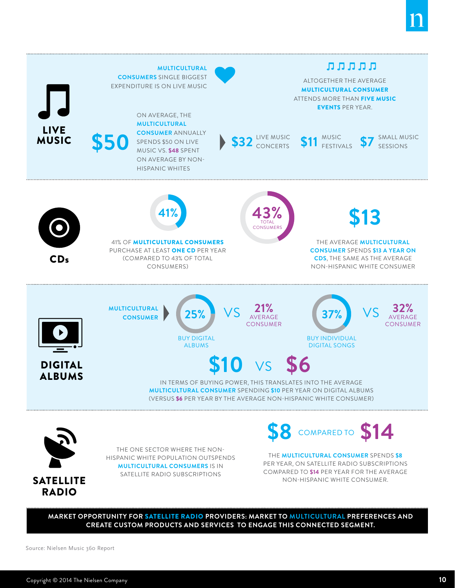![](_page_10_Figure_1.jpeg)

**MARKET OPPORTUNITY FOR** SATELLITE RADIO **PROVIDERS: MARKET TO MULTICULTURAL PREFERENCES AND CREATE CUSTOM PRODUCTS AND SERVICES TO ENGAGE THIS CONNECTED SEGMENT.**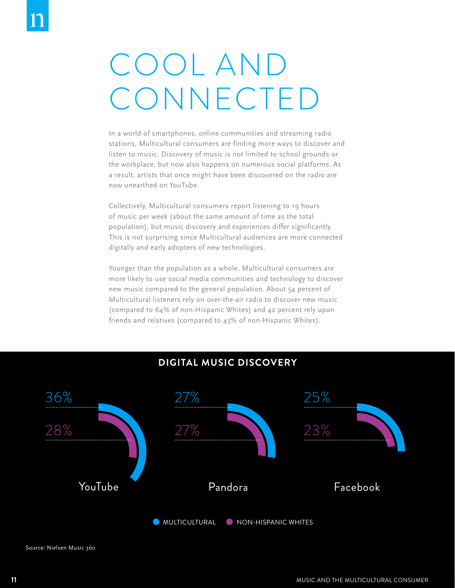### COOL AND CONNECTED

In a world of smartphones, online communities and streaming radio stations, Multicultural consumers are finding more ways to discover and listen to music. Discovery of music is not limited to school grounds or the workplace, but now also happens on numerous social platforms. As a result, artists that once might have been discovered on the radio are now unearthed on YouTube.

Collectively, Multicultural consumers report listening to 19 hours of music per week (about the same amount of time as the total population), but music discovery and experiences differ significantly. This is not surprising since Multicultural audiences are more connected digitally and early adopters of new technologies.

Younger than the population as a whole, Multicultural consumers are more likely to use social media communities and technology to discover new music compared to the general population. About 54 percent of Multicultural listeners rely on over-the-air radio to discover new music (compared to 64% of non-Hispanic Whites) and 42 percent rely upon friends and relatives (compared to 43% of non-Hispanic Whites).

#### **DIGITAL MUSIC DISCOVERY**

![](_page_11_Figure_6.jpeg)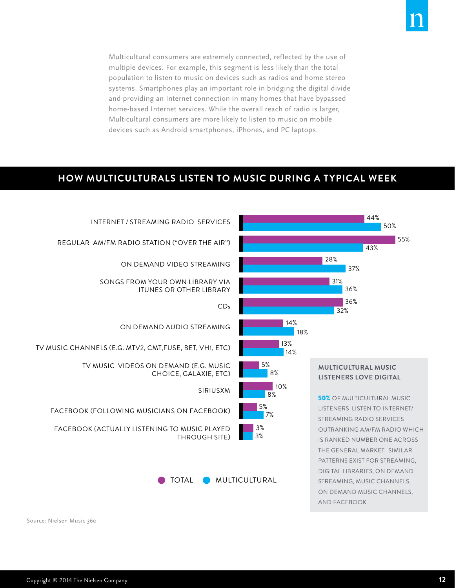Multicultural consumers are extremely connected, reflected by the use of multiple devices. For example, this segment is less likely than the total population to listen to music on devices such as radios and home stereo systems. Smartphones play an important role in bridging the digital divide and providing an Internet connection in many homes that have bypassed home-based Internet services. While the overall reach of radio is larger, Multicultural consumers are more likely to listen to music on mobile devices such as Android smartphones, iPhones, and PC laptops.

#### **HOW MULTICULTURALS LISTEN TO MUSIC DURING A TYPICAL WEEK**

![](_page_12_Figure_3.jpeg)

ON DEMAND VIDEO STREAMING SONGS FROM YOUR OWN LIBRARY VIA TV MUSIC CHANNELS (E.G. MTV2, CMT,FUSE, BET, VH1, ETC) 13% TV MUSIC VIDEOS ON DEMAND (E.G. MUSIC FACEBOOK (FOLLOWING MUSICIANS ON FACEBOOK) FACEBOOK (ACTUALLY LISTENING TO MUSIC PLAYED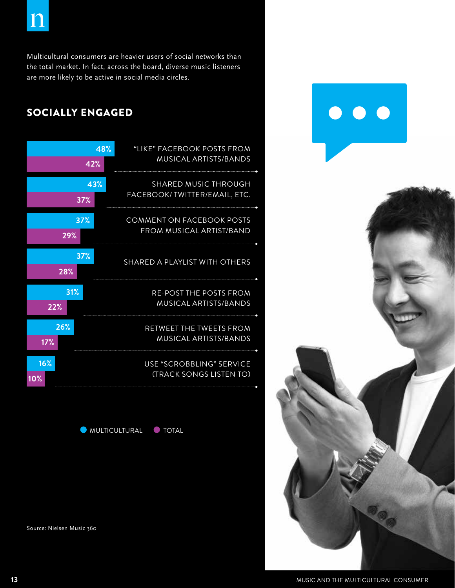Multicultural consumers are heavier users of social networks than the total market. In fact, across the board, diverse music listeners are more likely to be active in social media circles.

#### SOCIALLY ENGAGED

| 48%        | "LIKE" FACEBOOK POSTS FROM                                     |
|------------|----------------------------------------------------------------|
| 42%        | MUSICAL ARTISTS/BANDS                                          |
| 43%        | <b>SHARED MUSIC THROUGH</b><br>FACEBOOK/ TWITTER/EMAIL, ETC.   |
| 37%        |                                                                |
| 37%<br>29% | <b>COMMENT ON FACEBOOK POSTS</b><br>FROM MUSICAL ARTIST/BAND   |
| 37%<br>28% | SHARED A PLAYLIST WITH OTHERS                                  |
| 31%<br>22% | <b>RE-POST THE POSTS FROM</b><br><b>MUSICAL ARTISTS/BANDS</b>  |
| 26%<br>17% | <b>RETWEET THE TWEETS FROM</b><br><b>MUSICAL ARTISTS/BANDS</b> |
| 16%<br>10% | <b>USE "SCROBBLING" SERVICE</b><br>(TRACK SONGS LISTEN TO)     |

![](_page_13_Picture_4.jpeg)

![](_page_13_Picture_6.jpeg)

![](_page_13_Picture_7.jpeg)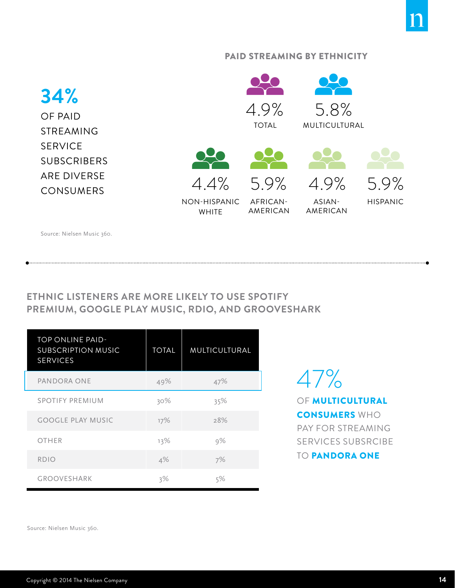#### PAID STREAMING BY ETHNICITY

![](_page_14_Picture_2.jpeg)

Source: Nielsen Music 360.

#### **ETHNIC LISTENERS ARE MORE LIKELY TO USE SPOTIFY PREMIUM, GOOGLE PLAY MUSIC, RDIO, AND GROOVESHARK**

| <b>TOP ONLINE PAID-</b><br><b>SUBSCRIPTION MUSIC</b><br><b>SERVICES</b> | <b>TOTAL</b> | <b>MULTICULTURAL</b> |
|-------------------------------------------------------------------------|--------------|----------------------|
| PANDORA ONE                                                             | 49%          | 47%                  |
| <b>SPOTIFY PREMIUM</b>                                                  | 30%          | 35%                  |
| <b>GOOGLE PLAY MUSIC</b>                                                | 17%          | 28%                  |
| <b>OTHER</b>                                                            | 13%          | 9%                   |
| <b>RDIO</b>                                                             | 4%           | 7%                   |
| <b>GROOVESHARK</b>                                                      | 3%           | 5%                   |

OF **MULTICULTURAL** CONSUMERS WHO PAY FOR STREAMING 47%

SERVICES SUBSRCIBE

TO PANDORA ONE

Source: Nielsen Music 360.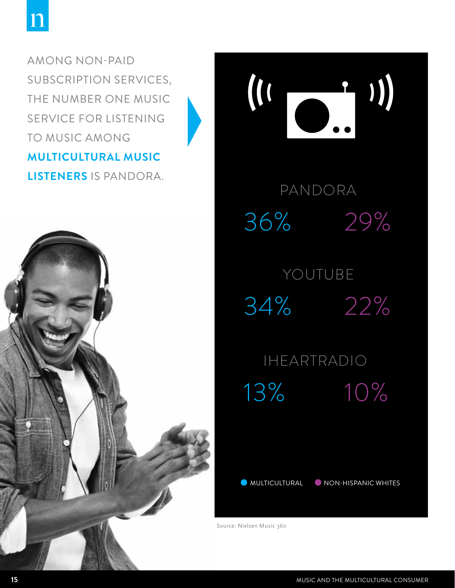AMONG NON-PAID SUBSCRIPTION SERVICES, THE NUMBER ONE MUSIC SERVICE FOR LISTENING TO MUSIC AMONG **MULTICULTURAL MUSIC LISTENERS** IS PANDORA.

![](_page_15_Picture_2.jpeg)

## $\overline{\mathcal{U}}$  $\begin{pmatrix} 1 \end{pmatrix}$ PANDORA 36% 29% YOUTUBE 34% 22% IHEARTRADIO 13% 10%  $\bullet$  MULTICULTURAL  $\bullet$  NON-HISPANIC WHITES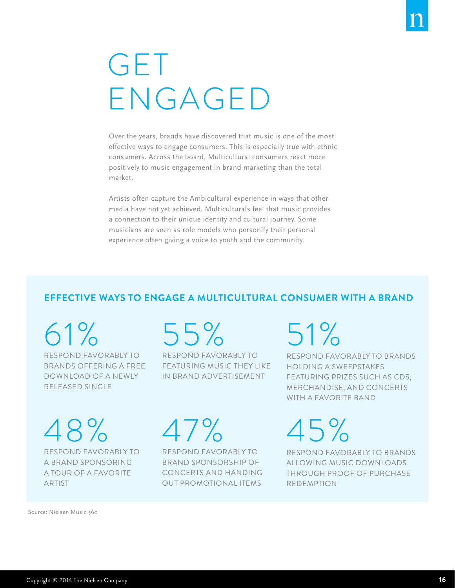### GET ENGAGED

Over the years, brands have discovered that music is one of the most effective ways to engage consumers. This is especially true with ethnic consumers. Across the board, Multicultural consumers react more positively to music engagement in brand marketing than the total market.

Artists often capture the Ambicultural experience in ways that other media have not yet achieved. Multiculturals feel that music provides a connection to their unique identity and cultural journey. Some musicians are seen as role models who personify their personal experience often giving a voice to youth and the community.

#### **EFFECTIVE WAYS TO ENGAGE A MULTICULTURAL CONSUMER WITH A BRAND**

RESPOND FAVORABLY TO BRANDS OFFERING A FREE DOWNLOAD OF A NEWLY RELEASED SINGLE

61% 51% 55%

RESPOND FAVORABLY TO FEATURING MUSIC THEY LIKE IN BRAND ADVERTISEMENT

RESPOND FAVORABLY TO BRANDS HOLDING A SWEEPSTAKES FEATURING PRIZES SUCH AS CDS, MERCHANDISE, AND CONCERTS WITH A FAVORITE BAND

RESPOND FAVORABLY TO A BRAND SPONSORING 48%

A TOUR OF A FAVORITE

Source: Nielsen Music 360

ARTIST

47%

RESPOND FAVORABLY TO BRAND SPONSORSHIP OF CONCERTS AND HANDING OUT PROMOTIONAL ITEMS

### 45%

RESPOND FAVORABLY TO BRANDS ALLOWING MUSIC DOWNLOADS THROUGH PROOF OF PURCHASE REDEMPTION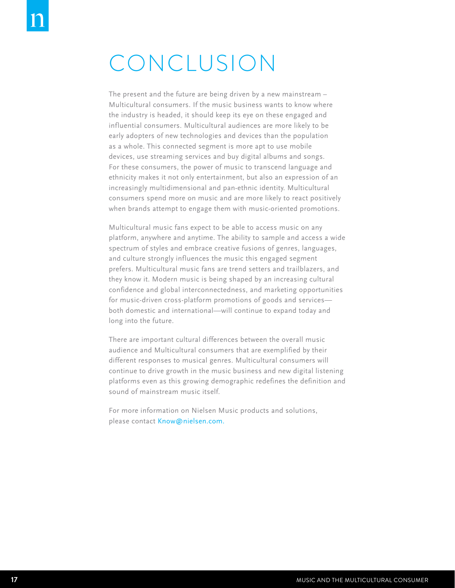### CONCLUSION

The present and the future are being driven by a new mainstream – Multicultural consumers. If the music business wants to know where the industry is headed, it should keep its eye on these engaged and influential consumers. Multicultural audiences are more likely to be early adopters of new technologies and devices than the population as a whole. This connected segment is more apt to use mobile devices, use streaming services and buy digital albums and songs. For these consumers, the power of music to transcend language and ethnicity makes it not only entertainment, but also an expression of an increasingly multidimensional and pan-ethnic identity. Multicultural consumers spend more on music and are more likely to react positively when brands attempt to engage them with music-oriented promotions.

Multicultural music fans expect to be able to access music on any platform, anywhere and anytime. The ability to sample and access a wide spectrum of styles and embrace creative fusions of genres, languages, and culture strongly influences the music this engaged segment prefers. Multicultural music fans are trend setters and trailblazers, and they know it. Modern music is being shaped by an increasing cultural confidence and global interconnectedness, and marketing opportunities for music-driven cross-platform promotions of goods and services both domestic and international—will continue to expand today and long into the future.

There are important cultural differences between the overall music audience and Multicultural consumers that are exemplified by their different responses to musical genres. Multicultural consumers will continue to drive growth in the music business and new digital listening platforms even as this growing demographic redefines the definition and sound of mainstream music itself.

For more information on Nielsen Music products and solutions, please contact Know@nielsen.com.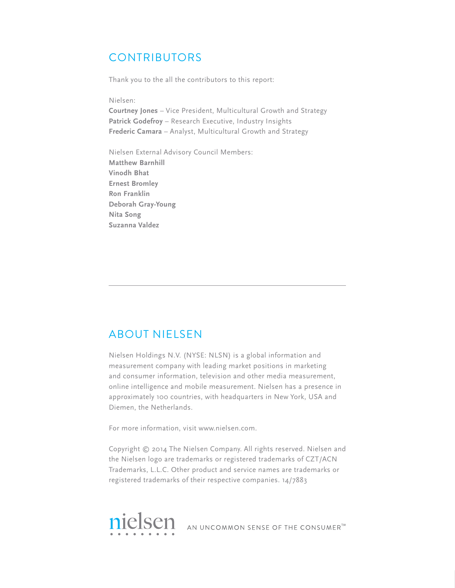#### CONTRIBUTORS

Thank you to the all the contributors to this report:

Nielsen:

**Courtney Jones** – Vice President, Multicultural Growth and Strategy **Patrick Godefroy** – Research Executive, Industry Insights **Frederic Camara** – Analyst, Multicultural Growth and Strategy

Nielsen External Advisory Council Members: **Matthew Barnhill Vinodh Bhat Ernest Bromley Ron Franklin Deborah Gray-Young Nita Song Suzanna Valdez**

#### ABOUT NIELSEN

Nielsen Holdings N.V. (NYSE: NLSN) is a global information and measurement company with leading market positions in marketing and consumer information, television and other media measurement, online intelligence and mobile measurement. Nielsen has a presence in approximately 100 countries, with headquarters in New York, USA and Diemen, the Netherlands.

For more information, visit www.nielsen.com.

Copyright © 2014 The Nielsen Company. All rights reserved. Nielsen and the Nielsen logo are trademarks or registered trademarks of CZT/ACN Trademarks, L.L.C. Other product and service names are trademarks or registered trademarks of their respective companies. 14/7883

![](_page_18_Picture_9.jpeg)